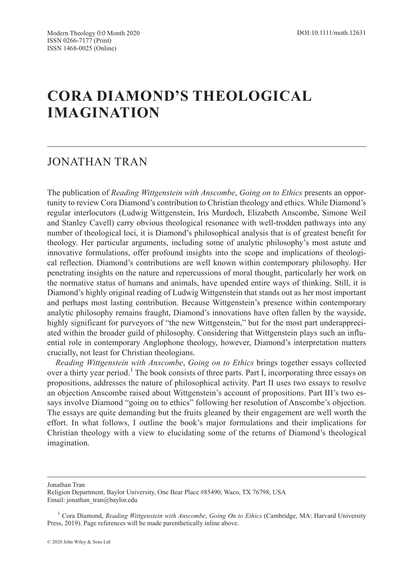# **CORA DIAMOND'S THEOLOGICAL IMAGINATION**

## JONATHAN TRAN

The publication of *Reading Wittgenstein with Anscombe*, *Going on to Ethics* presents an opportunity to review Cora Diamond's contribution to Christian theology and ethics. While Diamond's regular interlocutors (Ludwig Wittgenstein, Iris Murdoch, Elizabeth Anscombe, Simone Weil and Stanley Cavell) carry obvious theological resonance with well-trodden pathways into any number of theological loci, it is Diamond's philosophical analysis that is of greatest benefit for theology. Her particular arguments, including some of analytic philosophy's most astute and innovative formulations, offer profound insights into the scope and implications of theological reflection. Diamond's contributions are well known within contemporary philosophy. Her penetrating insights on the nature and repercussions of moral thought, particularly her work on the normative status of humans and animals, have upended entire ways of thinking. Still, it is Diamond's highly original reading of Ludwig Wittgenstein that stands out as her most important and perhaps most lasting contribution. Because Wittgenstein's presence within contemporary analytic philosophy remains fraught, Diamond's innovations have often fallen by the wayside, highly significant for purveyors of "the new Wittgenstein," but for the most part underappreciated within the broader guild of philosophy. Considering that Wittgenstein plays such an influential role in contemporary Anglophone theology, however, Diamond's interpretation matters crucially, not least for Christian theologians.

*Reading Wittgenstein with Anscombe*, *Going on to Ethics* brings together essays collected over a thirty year period.<sup>1</sup> The book consists of three parts. Part I, incorporating three essays on propositions, addresses the nature of philosophical activity. Part II uses two essays to resolve an objection Anscombe raised about Wittgenstein's account of propositions. Part III's two essays involve Diamond "going on to ethics" following her resolution of Anscombe's objection. The essays are quite demanding but the fruits gleaned by their engagement are well worth the effort. In what follows, I outline the book's major formulations and their implications for Christian theology with a view to elucidating some of the returns of Diamond's theological imagination.

Jonathan Tran

Religion Department, Baylor University, One Bear Place #85490, Waco, TX 76798, USA Email: jonathan\_tran@baylor.edu

<sup>&</sup>lt;sup>1</sup> Cora Diamond, *Reading Wittgenstein with Anscombe*, *Going On to Ethics* (Cambridge, MA: Harvard University Press, 2019). Page references will be made parenthetically inline above.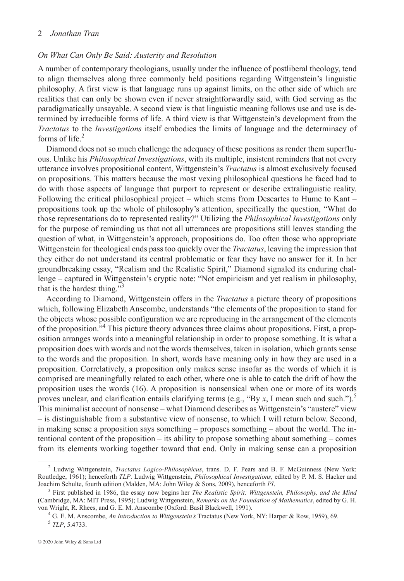#### *On What Can Only Be Said: Austerity and Resolution*

A number of contemporary theologians, usually under the influence of postliberal theology, tend to align themselves along three commonly held positions regarding Wittgenstein's linguistic philosophy. A first view is that language runs up against limits, on the other side of which are realities that can only be shown even if never straightforwardly said, with God serving as the paradigmatically unsayable. A second view is that linguistic meaning follows use and use is determined by irreducible forms of life. A third view is that Wittgenstein's development from the *Tractatus* to the *Investigations* itself embodies the limits of language and the determinacy of forms of life. $<sup>2</sup>$ </sup>

Diamond does not so much challenge the adequacy of these positions as render them superfluous. Unlike his *Philosophical Investigations*, with its multiple, insistent reminders that not every utterance involves propositional content, Wittgenstein's *Tractatus* is almost exclusively focused on propositions. This matters because the most vexing philosophical questions he faced had to do with those aspects of language that purport to represent or describe extralinguistic reality. Following the critical philosophical project – which stems from Descartes to Hume to Kant – propositions took up the whole of philosophy's attention, specifically the question, "What do those representations do to represented reality?" Utilizing the *Philosophical Investigations* only for the purpose of reminding us that not all utterances are propositions still leaves standing the question of what, in Wittgenstein's approach, propositions do. Too often those who appropriate Wittgenstein for theological ends pass too quickly over the *Tractatus*, leaving the impression that they either do not understand its central problematic or fear they have no answer for it. In her groundbreaking essay, "Realism and the Realistic Spirit," Diamond signaled its enduring challenge – captured in Wittgenstein's cryptic note: "Not empiricism and yet realism in philosophy, that is the hardest thing."<sup>3</sup>

According to Diamond, Wittgenstein offers in the *Tractatus* a picture theory of propositions which, following Elizabeth Anscombe, understands "the elements of the proposition to stand for the objects whose possible configuration we are reproducing in the arrangement of the elements of the proposition."<sup>4</sup> This picture theory advances three claims about propositions. First, a proposition arranges words into a meaningful relationship in order to propose something. It is what a proposition does with words and not the words themselves, taken in isolation, which grants sense to the words and the proposition. In short, words have meaning only in how they are used in a proposition. Correlatively, a proposition only makes sense insofar as the words of which it is comprised are meaningfully related to each other, where one is able to catch the drift of how the proposition uses the words (16). A proposition is nonsensical when one or more of its words proves unclear, and clarification entails clarifying terms (e.g., "By *x*, I mean such and such.").<sup>5</sup> This minimalist account of nonsense – what Diamond describes as Wittgenstein's "austere" view – is distinguishable from a substantive view of nonsense, to which I will return below. Second, in making sense a proposition says something – proposes something – about the world. The intentional content of the proposition – its ability to propose something about something – comes from its elements working together toward that end. Only in making sense can a proposition

<sup>2</sup> Ludwig Wittgenstein, *Tractatus Logico-Philosophicus*, trans. D. F. Pears and B. F. McGuinness (New York: Routledge, 1961); henceforth *TLP*. Ludwig Wittgenstein, *Philosophical Investigations*, edited by P. M. S. Hacker and Joachim Schulte, fourth edition (Malden, MA: John Wiley & Sons, 2009), henceforth *PI*.

<sup>3</sup> First published in 1986, the essay now begins her *The Realistic Spirit: Wittgenstein, Philosophy, and the Mind* (Cambridge, MA: MIT Press, 1995); Ludwig Wittgenstein, *Remarks on the Foundation of Mathematics*, edited by G. H. von Wright, R. Rhees, and G. E. M. Anscombe (Oxford: Basil Blackwell, 1991).

<sup>4</sup> G. E. M. Anscombe, *An Introduction to Wittgenstein's* Tractatus (New York, NY: Harper & Row, 1959), 69.

<sup>5</sup> *TLP*, 5.4733.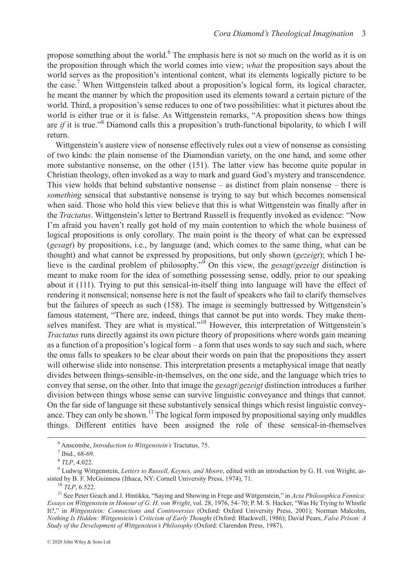propose something about the world. <sup>6</sup> The emphasis here is not so much on the world as it is on the proposition through which the world comes into view; *what* the proposition says about the world serves as the proposition's intentional content, what its elements logically picture to be the case.<sup>7</sup> When Wittgenstein talked about a proposition's logical form, its logical character, he meant the manner by which the proposition used its elements toward a certain picture of the world. Third, a proposition's sense reduces to one of two possibilities: what it pictures about the world is either true or it is false. As Wittgenstein remarks, "A proposition shews how things are *if* it is true."8 Diamond calls this a proposition's truth-functional bipolarity, to which I will return.

Wittgenstein's austere view of nonsense effectively rules out a view of nonsense as consisting of two kinds: the plain nonsense of the Diamondian variety, on the one hand, and some other more substantive nonsense, on the other (151). The latter view has become quite popular in Christian theology, often invoked as a way to mark and guard God's mystery and transcendence. This view holds that behind substantive nonsense – as distinct from plain nonsense – there is *something* sensical that substantive nonsense is trying to say but which becomes nonsensical when said. Those who hold this view believe that this is what Wittgenstein was finally after in the *Tractatus*. Wittgenstein's letter to Bertrand Russell is frequently invoked as evidence: "Now I'm afraid you haven't really got hold of my main contention to which the whole business of logical propositions is only corollary. The main point is the theory of what can be expressed (*gesagt*) by propositions, i.e., by language (and, which comes to the same thing, what can be thought) and what cannot be expressed by propositions, but only shown (*gezeigt*); which I believe is the cardinal problem of philosophy."<sup>9</sup> On this view, the *gesagt*/*gezeigt* distinction is meant to make room for the idea of something possessing sense, oddly, prior to our speaking about it (111). Trying to put this sensical-in-itself thing into language will have the effect of rendering it nonsensical; nonsense here is not the fault of speakers who fail to clarify themselves but the failures of speech as such (158). The image is seemingly buttressed by Wittgenstein's famous statement, "There are, indeed, things that cannot be put into words. They make themselves manifest. They are what is mystical."<sup>10</sup> However, this interpretation of Wittgenstein's *Tractatus* runs directly against its own picture theory of propositions where words gain meaning as a function of a proposition's logical form – a form that uses words to say such and such, where the onus falls to speakers to be clear about their words on pain that the propositions they assert will otherwise slide into nonsense. This interpretation presents a metaphysical image that neatly divides between things-sensible-in-themselves, on the one side, and the language which tries to convey that sense, on the other. Into that image the *gesagt*/*gezeigt* distinction introduces a further division between things whose sense can survive linguistic conveyance and things that cannot. On the far side of language sit these substantively sensical things which resist linguistic conveyance. They can only be shown.<sup>11</sup> The logical form imposed by propositional saying only muddles things. Different entities have been assigned the role of these sensical-in-themselves

<sup>10</sup> *TLP*, 6.522.

<sup>6</sup> Anscombe, *Introduction to Wittgenstein's* Tractatus, 75.

<sup>7</sup> Ibid., 68-69.

<sup>8</sup> *TLP*, 4.022.

<sup>9</sup> Ludwig Wittgenstein, *Letters to Russell, Keynes, and Moore*, edited with an introduction by G. H. von Wright, assisted by B. F. McGuinness (Ithaca, NY: Cornell University Press, 1974), 71.

<sup>&</sup>lt;sup>11</sup> See Peter Geach and J. Hintikka, "Saying and Showing in Frege and Wittgenstein," in Acta Philosophica Fennica: *Essays on Wittgenstein in Honour of G. H. von Wright*, vol. 28, 1976, 54–70; P. M. S. Hacker, "Was He Trying to Whistle It?," in *Wittgenstein: Connections and Controversies* (Oxford: Oxford University Press, 2001); Norman Malcolm, *Nothing Is Hidden: Wittgenstein's Criticism of Early Thought* (Oxford: Blackwell, 1986); David Pears, *False Prison: A Study of the Development of Wittgenstein's Philosophy* (Oxford: Clarendon Press, 1987).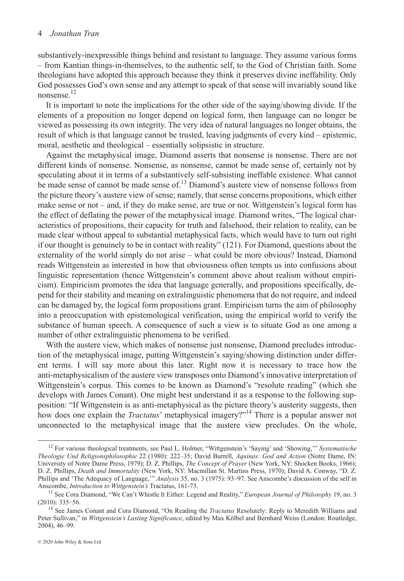#### 4 *Jonathan Tran*

substantively-inexpressible things behind and resistant to language. They assume various forms – from Kantian things-in-themselves, to the authentic self, to the God of Christian faith. Some theologians have adopted this approach because they think it preserves divine ineffability. Only God possesses God's own sense and any attempt to speak of that sense will invariably sound like nonsense.<sup>12</sup>

It is important to note the implications for the other side of the saying/showing divide. If the elements of a proposition no longer depend on logical form, then language can no longer be viewed as possessing its own integrity. The very idea of natural languages no longer obtains, the result of which is that language cannot be trusted, leaving judgments of every kind – epistemic, moral, aesthetic and theological – essentially solipsistic in structure.

Against the metaphysical image, Diamond asserts that nonsense is nonsense. There are not different kinds of nonsense. Nonsense, as nonsense, cannot be made sense of, certainly not by speculating about it in terms of a substantively self-subsisting ineffable existence. What cannot be made sense of cannot be made sense of. $^{13}$  Diamond's austere view of nonsense follows from the picture theory's austere view of sense; namely, that sense concerns propositions, which either make sense or not – and, if they do make sense, are true or not. Wittgenstein's logical form has the effect of deflating the power of the metaphysical image. Diamond writes, "The logical characteristics of propositions, their capacity for truth and falsehood, their relation to reality, can be made clear without appeal to substantial metaphysical facts, which would have to turn out right if our thought is genuinely to be in contact with reality" (121). For Diamond, questions about the externality of the world simply do not arise – what could be more obvious? Instead, Diamond reads Wittgenstein as interested in how that obviousness often tempts us into confusions about linguistic representation (hence Wittgenstein's comment above about realism without empiricism). Empiricism promotes the idea that language generally, and propositions specifically, depend for their stability and meaning on extralinguistic phenomena that do not require, and indeed can be damaged by, the logical form propositions grant. Empiricism turns the aim of philosophy into a preoccupation with epistemological verification, using the empirical world to verify the substance of human speech. A consequence of such a view is to situate God as one among a number of other extralinguistic phenomena to be verified.

With the austere view, which makes of nonsense just nonsense, Diamond precludes introduction of the metaphysical image, putting Wittgenstein's saying/showing distinction under different terms. I will say more about this later. Right now it is necessary to trace how the anti-metaphysicalism of the austere view transposes onto Diamond's innovative interpretation of Wittgenstein's corpus. This comes to be known as Diamond's "resolute reading" (which she develops with James Conant). One might best understand it as a response to the following supposition: "If Wittgenstein is as anti-metaphysical as the picture theory's austerity suggests, then how does one explain the *Tractatus*' metaphysical imagery?"14 There is a popular answer not unconnected to the metaphysical image that the austere view precludes. On the whole,

<sup>12</sup> For various theological treatments, see Paul L. Holmer, "Wittgenstein's 'Saying' and 'Showing,'" *Systematische Theologie Und Religionsphilosophie* 22 (1980): 222–35; David Burrell, *Aquinas: God and Action* (Notre Dame, IN: University of Notre Dame Press, 1979); D. Z. Phillips, *The Concept of Prayer* (New York, NY: Shocken Books, 1966); D. Z. Phillips, *Death and Immortality* (New York, NY: Macmillan St. Martins Press, 1970); David A. Conway, "D. Z. Phillips and 'The Adequacy of Language,'" *Analysis* 35, no. 3 (1975): 93–97. See Anscombe's discussion of the self in Anscombe, *Introduction to Wittgenstein's* Tractatus, 161-73.

<sup>13</sup> See Cora Diamond, "We Can't Whistle It Either: Legend and Reality," *European Journal of Philosophy* 19, no. 3 (2010): 335–56.

<sup>&</sup>lt;sup>14</sup> See James Conant and Cora Diamond, "On Reading the *Tractatus* Resolutely: Reply to Meredith Williams and Peter Sullivan," in *Wittgenstein's Lasting Significance*, edited by Max Kölbel and Bernhard Weiss (London: Routledge, 2004), 46–99.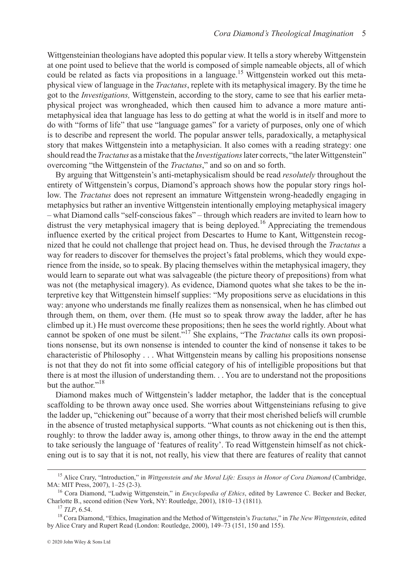Wittgensteinian theologians have adopted this popular view. It tells a story whereby Wittgenstein at one point used to believe that the world is composed of simple nameable objects, all of which could be related as facts via propositions in a language.<sup>15</sup> Wittgenstein worked out this metaphysical view of language in the *Tractatus*, replete with its metaphysical imagery. By the time he got to the *Investigations,* Wittgenstein, according to the story, came to see that his earlier metaphysical project was wrongheaded, which then caused him to advance a more mature antimetaphysical idea that language has less to do getting at what the world is in itself and more to do with "forms of life" that use "language games" for a variety of purposes, only one of which is to describe and represent the world. The popular answer tells, paradoxically, a metaphysical story that makes Wittgenstein into a metaphysician. It also comes with a reading strategy: one should read the *Tractatus* as a mistake that the *Investigations* later corrects, "the later Wittgenstein" overcoming "the Wittgenstein of the *Tractatus*," and so on and so forth.

By arguing that Wittgenstein's anti-metaphysicalism should be read *resolutely* throughout the entirety of Wittgenstein's corpus, Diamond's approach shows how the popular story rings hollow. The *Tractatus* does not represent an immature Wittgenstein wrong-headedly engaging in metaphysics but rather an inventive Wittgenstein intentionally employing metaphysical imagery – what Diamond calls "self-conscious fakes" – through which readers are invited to learn how to distrust the very metaphysical imagery that is being deployed.<sup>16</sup> Appreciating the tremendous influence exerted by the critical project from Descartes to Hume to Kant, Wittgenstein recognized that he could not challenge that project head on. Thus, he devised through the *Tractatus* a way for readers to discover for themselves the project's fatal problems, which they would experience from the inside, so to speak. By placing themselves within the metaphysical imagery, they would learn to separate out what was salvageable (the picture theory of prepositions) from what was not (the metaphysical imagery). As evidence, Diamond quotes what she takes to be the interpretive key that Wittgenstein himself supplies: "My propositions serve as elucidations in this way: anyone who understands me finally realizes them as nonsensical, when he has climbed out through them, on them, over them. (He must so to speak throw away the ladder, after he has climbed up it.) He must overcome these propositions; then he sees the world rightly. About what cannot be spoken of one must be silent."17 She explains, "The *Tractatus* calls its own propositions nonsense, but its own nonsense is intended to counter the kind of nonsense it takes to be characteristic of Philosophy . . . What Wittgenstein means by calling his propositions nonsense is not that they do not fit into some official category of his of intelligible propositions but that there is at most the illusion of understanding them. . . You are to understand not the propositions but the author."<sup>18</sup>

Diamond makes much of Wittgenstein's ladder metaphor, the ladder that is the conceptual scaffolding to be thrown away once used. She worries about Wittgensteinians refusing to give the ladder up, "chickening out" because of a worry that their most cherished beliefs will crumble in the absence of trusted metaphysical supports. "What counts as not chickening out is then this, roughly: to throw the ladder away is, among other things, to throw away in the end the attempt to take seriously the language of 'features of reality'. To read Wittgenstein himself as not chickening out is to say that it is not, not really, his view that there are features of reality that cannot

<sup>&</sup>lt;sup>15</sup> Alice Crary, "Introduction," in *Wittgenstein and the Moral Life: Essays in Honor of Cora Diamond* (Cambridge, MA: MIT Press, 2007), 1–25 (2-3).

<sup>16</sup> Cora Diamond, "Ludwig Wittgenstein," in *Encyclopedia of Ethics*, edited by Lawrence C. Becker and Becker, Charlotte B., second edition (New York, NY: Routledge, 2001), 1810–13 (1811).

<sup>17</sup> *TLP*, 6.54.

<sup>18</sup> Cora Diamond, "Ethics, Imagination and the Method of Wittgenstein's *Tractatus*," in *The New Wittgenstein*, edited by Alice Crary and Rupert Read (London: Routledge, 2000), 149–73 (151, 150 and 155).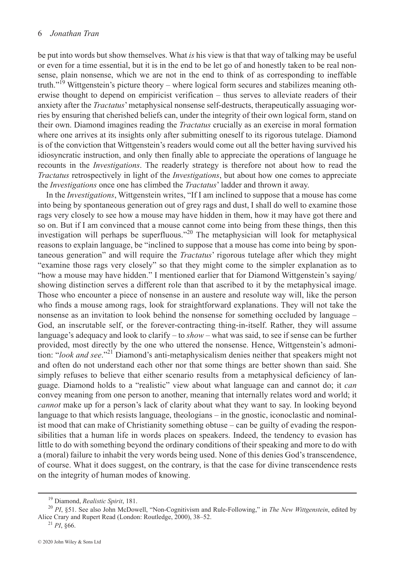be put into words but show themselves. What *is* his view is that that way of talking may be useful or even for a time essential, but it is in the end to be let go of and honestly taken to be real nonsense, plain nonsense, which we are not in the end to think of as corresponding to ineffable truth."<sup>19</sup> Wittgenstein's picture theory – where logical form secures and stabilizes meaning otherwise thought to depend on empiricist verification – thus serves to alleviate readers of their anxiety after the *Tractatus*' metaphysical nonsense self-destructs, therapeutically assuaging worries by ensuring that cherished beliefs can, under the integrity of their own logical form, stand on their own. Diamond imagines reading the *Tractatus* crucially as an exercise in moral formation where one arrives at its insights only after submitting oneself to its rigorous tutelage. Diamond is of the conviction that Wittgenstein's readers would come out all the better having survived his idiosyncratic instruction, and only then finally able to appreciate the operations of language he recounts in the *Investigations*. The readerly strategy is therefore not about how to read the *Tractatus* retrospectively in light of the *Investigations*, but about how one comes to appreciate the *Investigations* once one has climbed the *Tractatus*' ladder and thrown it away.

In the *Investigations*, Wittgenstein writes, "If I am inclined to suppose that a mouse has come into being by spontaneous generation out of grey rags and dust, I shall do well to examine those rags very closely to see how a mouse may have hidden in them, how it may have got there and so on. But if I am convinced that a mouse cannot come into being from these things, then this investigation will perhaps be superfluous."<sup>20</sup> The metaphysician will look for metaphysical reasons to explain language, be "inclined to suppose that a mouse has come into being by spontaneous generation" and will require the *Tractatus*' rigorous tutelage after which they might "examine those rags very closely" so that they might come to the simpler explanation as to "how a mouse may have hidden." I mentioned earlier that for Diamond Wittgenstein's saying/ showing distinction serves a different role than that ascribed to it by the metaphysical image. Those who encounter a piece of nonsense in an austere and resolute way will, like the person who finds a mouse among rags, look for straightforward explanations. They will not take the nonsense as an invitation to look behind the nonsense for something occluded by language – God, an inscrutable self, or the forever-contracting thing-in-itself. Rather, they will assume language's adequacy and look to clarify – to *show* – what was said, to see if sense can be further provided, most directly by the one who uttered the nonsense. Hence, Wittgenstein's admonition: "*look and see*."21 Diamond's anti-metaphysicalism denies neither that speakers might not and often do not understand each other nor that some things are better shown than said. She simply refuses to believe that either scenario results from a metaphysical deficiency of language. Diamond holds to a "realistic" view about what language can and cannot do; it *can* convey meaning from one person to another, meaning that internally relates word and world; it *cannot* make up for a person's lack of clarity about what they want to say. In looking beyond language to that which resists language, theologians – in the gnostic, iconoclastic and nominalist mood that can make of Christianity something obtuse – can be guilty of evading the responsibilities that a human life in words places on speakers. Indeed, the tendency to evasion has little to do with something beyond the ordinary conditions of their speaking and more to do with a (moral) failure to inhabit the very words being used. None of this denies God's transcendence, of course. What it does suggest, on the contrary, is that the case for divine transcendence rests on the integrity of human modes of knowing.

<sup>19</sup> Diamond, *Realistic Spirit*, 181.

<sup>&</sup>lt;sup>20</sup> *PI*, §51. See also John McDowell, "Non-Cognitivism and Rule-Following," in *The New Wittgenstein*, edited by Alice Crary and Rupert Read (London: Routledge, 2000), 38–52.

<sup>21</sup> *PI*, §66.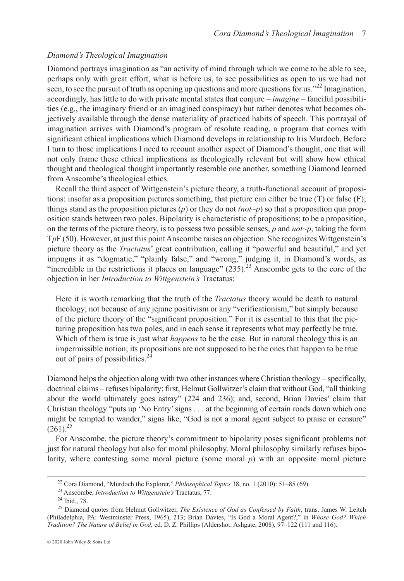#### *Diamond's Theological Imagination*

Diamond portrays imagination as "an activity of mind through which we come to be able to see, perhaps only with great effort, what is before us, to see possibilities as open to us we had not seen, to see the pursuit of truth as opening up questions and more questions for us."<sup>22</sup> Imagination, accordingly, has little to do with private mental states that conjure – *imagine* – fanciful possibilities (e.g., the imaginary friend or an imagined conspiracy) but rather denotes what becomes objectively available through the dense materiality of practiced habits of speech. This portrayal of imagination arrives with Diamond's program of resolute reading, a program that comes with significant ethical implications which Diamond develops in relationship to Iris Murdoch. Before I turn to those implications I need to recount another aspect of Diamond's thought, one that will not only frame these ethical implications as theologically relevant but will show how ethical thought and theological thought importantly resemble one another, something Diamond learned from Anscombe's theological ethics.

Recall the third aspect of Wittgenstein's picture theory, a truth-functional account of propositions: insofar as a proposition pictures something, that picture can either be true  $(T)$  or false  $(F)$ ; things stand as the proposition pictures (*p*) or they do not *(not~p*) so that a proposition qua proposition stands between two poles. Bipolarity is characteristic of propositions; to be a proposition, on the terms of the picture theory, is to possess two possible senses, *p* and *not~p*, taking the form T*p*F (50). However, at just this point Anscombe raises an objection. She recognizes Wittgenstein's picture theory as the *Tractatus*' great contribution, calling it "powerful and beautiful," and yet impugns it as "dogmatic," "plainly false," and "wrong," judging it, in Diamond's words, as "incredible in the restrictions it places on language"  $(235)$ .<sup>23</sup> Anscombe gets to the core of the objection in her *Introduction to Wittgenstein's* Tractatus:

Here it is worth remarking that the truth of the *Tractatus* theory would be death to natural theology; not because of any jejune positivism or any "verificationism," but simply because of the picture theory of the "significant proposition." For it is essential to this that the picturing proposition has two poles, and in each sense it represents what may perfectly be true. Which of them is true is just what *happens* to be the case. But in natural theology this is an impermissible notion; its propositions are not supposed to be the ones that happen to be true out of pairs of possibilities.<sup>24</sup>

Diamond helps the objection along with two other instances where Christian theology – specifically, doctrinal claims – refuses bipolarity: first, Helmut Gollwitzer's claim that without God, "all thinking about the world ultimately goes astray" (224 and 236); and, second, Brian Davies' claim that Christian theology "puts up 'No Entry' signs . . . at the beginning of certain roads down which one might be tempted to wander," signs like, "God is not a moral agent subject to praise or censure"  $(261)^{25}$ 

For Anscombe, the picture theory's commitment to bipolarity poses significant problems not just for natural theology but also for moral philosophy. Moral philosophy similarly refuses bipolarity, where contesting some moral picture (some moral *p*) with an opposite moral picture

<sup>22</sup> Cora Diamond, "Murdoch the Explorer," *Philosophical Topics* 38, no. 1 (2010): 51–85 (69).

<sup>23</sup> Anscombe, *Introduction to Wittgenstein's* Tractatus, 77.

<sup>24</sup> Ibid., 78.

<sup>25</sup> Diamond quotes from Helmut Gollwitzer, *The Existence of God as Confessed by Faith*, trans. James W. Leitch (Philadelphia, PA: Westminster Press, 1965), 213; Brian Davies, "Is God a Moral Agent?," in *Whose God? Which Tradition? The Nature of Belief in God*, ed. D. Z. Phillips (Aldershot: Ashgate, 2008), 97–122 (111 and 116).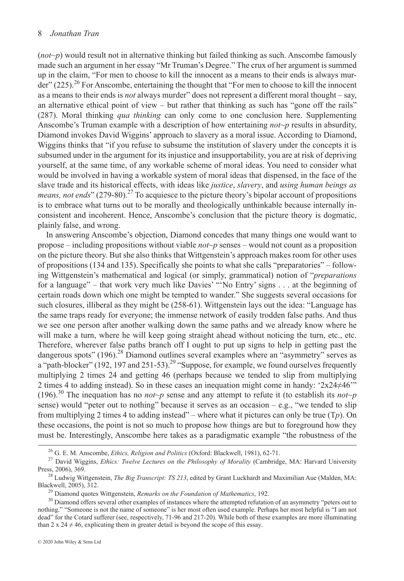(*not~p*) would result not in alternative thinking but failed thinking as such. Anscombe famously made such an argument in her essay "Mr Truman's Degree." The crux of her argument is summed up in the claim, "For men to choose to kill the innocent as a means to their ends is always murder" (225).<sup>26</sup> For Anscombe, entertaining the thought that "For men to choose to kill the innocent as a means to their ends is *not* always murder" does not represent a different moral thought – say, an alternative ethical point of view – but rather that thinking as such has "gone off the rails" (287). Moral thinking *qua thinking* can only come to one conclusion here. Supplementing Anscombe's Truman example with a description of how entertaining *not~p* results in absurdity, Diamond invokes David Wiggins' approach to slavery as a moral issue. According to Diamond, Wiggins thinks that "if you refuse to subsume the institution of slavery under the concepts it is subsumed under in the argument for its injustice and insupportability, you are at risk of depriving yourself, at the same time, of any workable scheme of moral ideas. You need to consider what would be involved in having a workable system of moral ideas that dispensed, in the face of the slave trade and its historical effects, with ideas like *justice*, *slavery*, and *using human beings as means, not ends*" (279-80).<sup>27</sup> To acquiesce to the picture theory's bipolar account of propositions is to embrace what turns out to be morally and theologically unthinkable because internally inconsistent and incoherent. Hence, Anscombe's conclusion that the picture theory is dogmatic, plainly false, and wrong.

In answering Anscombe's objection, Diamond concedes that many things one would want to propose – including propositions without viable *not~p* senses – would not count as a proposition on the picture theory. But she also thinks that Wittgenstein's approach makes room for other uses of propositions (134 and 135). Specifically she points to what she calls "preparatories" – following Wittgenstein's mathematical and logical (or simply, grammatical) notion of "*preparations* for a language" – that work very much like Davies' "'No Entry' signs . . . at the beginning of certain roads down which one might be tempted to wander." She suggests several occasions for such closures, illiberal as they might be (258-61). Wittgenstein lays out the idea: "Language has the same traps ready for everyone; the immense network of easily trodden false paths. And thus we see one person after another walking down the same paths and we already know where he will make a turn, where he will keep going straight ahead without noticing the turn, etc., etc. Therefore, wherever false paths branch off I ought to put up signs to help in getting past the dangerous spots" (196).<sup>28</sup> Diamond outlines several examples where an "asymmetry" serves as a "path-blocker" (192, 197 and 251-53).<sup>29</sup> "Suppose, for example, we found ourselves frequently multiplying 2 times 24 and getting 46 (perhaps because we tended to slip from multiplying 2 times 4 to adding instead). So in these cases an inequation might come in handy: '2x24≠46'" (196).<sup>30</sup> The inequation has no *not~p* sense and any attempt to refute it (to establish its *not~p* sense) would "peter out to nothing" because it serves as an occasion  $-e.g.,$  "we tended to slip from multiplying 2 times 4 to adding instead" – where what it pictures can only be true (T*p*). On these occasions, the point is not so much to propose how things are but to foreground how they must be. Interestingly, Anscombe here takes as a paradigmatic example "the robustness of the

<sup>26</sup> G. E. M. Anscombe, *Ethics, Religion and Politics* (Oxford: Blackwell, 1981), 62-71.

<sup>&</sup>lt;sup>27</sup> David Wiggins, *Ethics: Twelve Lectures on the Philosophy of Morality* (Cambridge, MA: Harvard University Press, 2006), 369.

<sup>&</sup>lt;sup>28</sup> Ludwig Wittgenstein, *The Big Transcript: TS 213*, edited by Grant Luckhardt and Maximilian Aue (Malden, MA: Blackwell, 2005), 312.

<sup>29</sup> Diamond quotes Wittgenstein, *Remarks on the Foundation of Mathematics*, 192.

<sup>&</sup>lt;sup>30</sup> Diamond offers several other examples of instances where the attempted refutation of an asymmetry "peters out to nothing." "Someone is not the name of someone" is her most often used example. Perhaps her most helpful is "I am not dead" for the Cotard sufferer (see, respectively, 71-96 and 217-20). While both of these examples are more illuminating than 2 x 24  $\neq$  46, explicating them in greater detail is beyond the scope of this essay.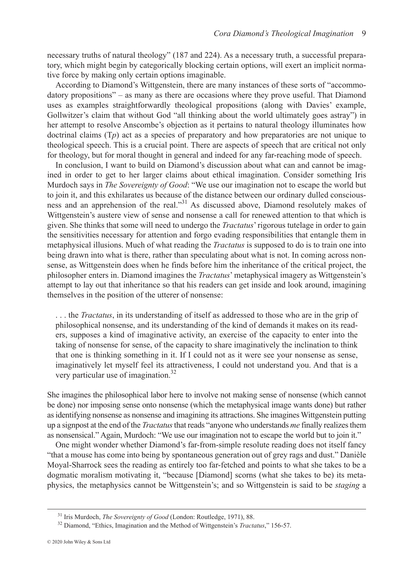necessary truths of natural theology" (187 and 224). As a necessary truth, a successful preparatory, which might begin by categorically blocking certain options, will exert an implicit normative force by making only certain options imaginable.

According to Diamond's Wittgenstein, there are many instances of these sorts of "accommodatory propositions" – as many as there are occasions where they prove useful. That Diamond uses as examples straightforwardly theological propositions (along with Davies' example, Gollwitzer's claim that without God "all thinking about the world ultimately goes astray") in her attempt to resolve Anscombe's objection as it pertains to natural theology illuminates how doctrinal claims (T*p*) act as a species of preparatory and how preparatories are not unique to theological speech. This is a crucial point. There are aspects of speech that are critical not only for theology, but for moral thought in general and indeed for any far-reaching mode of speech.

In conclusion, I want to build on Diamond's discussion about what can and cannot be imagined in order to get to her larger claims about ethical imagination. Consider something Iris Murdoch says in *The Sovereignty of Good*: "We use our imagination not to escape the world but to join it, and this exhilarates us because of the distance between our ordinary dulled consciousness and an apprehension of the real."<sup>31</sup> As discussed above, Diamond resolutely makes of Wittgenstein's austere view of sense and nonsense a call for renewed attention to that which is given. She thinks that some will need to undergo the *Tractatus*' rigorous tutelage in order to gain the sensitivities necessary for attention and forgo evading responsibilities that entangle them in metaphysical illusions. Much of what reading the *Tractatus* is supposed to do is to train one into being drawn into what is there, rather than speculating about what is not. In coming across nonsense, as Wittgenstein does when he finds before him the inheritance of the critical project, the philosopher enters in. Diamond imagines the *Tractatus*' metaphysical imagery as Wittgenstein's attempt to lay out that inheritance so that his readers can get inside and look around, imagining themselves in the position of the utterer of nonsense:

. . . the *Tractatus*, in its understanding of itself as addressed to those who are in the grip of philosophical nonsense, and its understanding of the kind of demands it makes on its readers, supposes a kind of imaginative activity, an exercise of the capacity to enter into the taking of nonsense for sense, of the capacity to share imaginatively the inclination to think that one is thinking something in it. If I could not as it were see your nonsense as sense, imaginatively let myself feel its attractiveness, I could not understand you. And that is a very particular use of imagination. $32$ 

She imagines the philosophical labor here to involve not making sense of nonsense (which cannot be done) nor imposing sense onto nonsense (which the metaphysical image wants done) but rather as identifying nonsense as nonsense and imagining its attractions. She imagines Wittgenstein putting up a signpost at the end of the *Tractatus* that reads "anyone who understands *me* finally realizes them as nonsensical." Again, Murdoch: "We use our imagination not to escape the world but to join it."

One might wonder whether Diamond's far-from-simple resolute reading does not itself fancy "that a mouse has come into being by spontaneous generation out of grey rags and dust." Danièle Moyal-Sharrock sees the reading as entirely too far-fetched and points to what she takes to be a dogmatic moralism motivating it, "because [Diamond] scorns (what she takes to be) its metaphysics, the metaphysics cannot be Wittgenstein's; and so Wittgenstein is said to be *staging* a

<sup>31</sup> Iris Murdoch, *The Sovereignty of Good* (London: Routledge, 1971), 88.

<sup>32</sup> Diamond, "Ethics, Imagination and the Method of Wittgenstein's *Tractatus*," 156-57.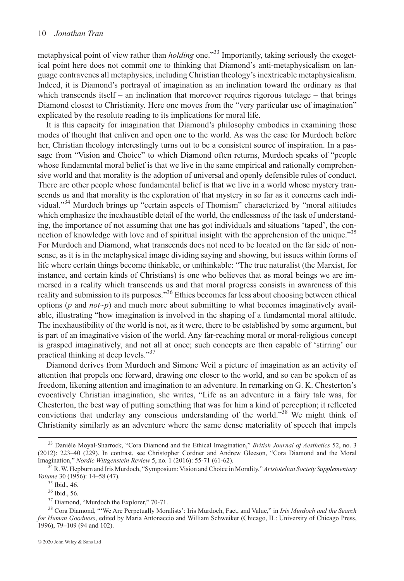metaphysical point of view rather than *holding* one."<sup>33</sup> Importantly, taking seriously the exegetical point here does not commit one to thinking that Diamond's anti-metaphysicalism on language contravenes all metaphysics, including Christian theology's inextricable metaphysicalism. Indeed, it is Diamond's portrayal of imagination as an inclination toward the ordinary as that which transcends itself – an inclination that moreover requires rigorous tutelage – that brings Diamond closest to Christianity. Here one moves from the "very particular use of imagination" explicated by the resolute reading to its implications for moral life.

It is this capacity for imagination that Diamond's philosophy embodies in examining those modes of thought that enliven and open one to the world. As was the case for Murdoch before her, Christian theology interestingly turns out to be a consistent source of inspiration. In a passage from "Vision and Choice" to which Diamond often returns, Murdoch speaks of "people whose fundamental moral belief is that we live in the same empirical and rationally comprehensive world and that morality is the adoption of universal and openly defensible rules of conduct. There are other people whose fundamental belief is that we live in a world whose mystery transcends us and that morality is the exploration of that mystery in so far as it concerns each individual."34 Murdoch brings up "certain aspects of Thomism" characterized by "moral attitudes which emphasize the inexhaustible detail of the world, the endlessness of the task of understanding, the importance of not assuming that one has got individuals and situations 'taped', the connection of knowledge with love and of spiritual insight with the apprehension of the unique."<sup>35</sup> For Murdoch and Diamond, what transcends does not need to be located on the far side of nonsense, as it is in the metaphysical image dividing saying and showing, but issues within forms of life where certain things become thinkable, or unthinkable: "The true naturalist (the Marxist, for instance, and certain kinds of Christians) is one who believes that as moral beings we are immersed in a reality which transcends us and that moral progress consists in awareness of this reality and submission to its purposes."<sup>36</sup> Ethics becomes far less about choosing between ethical options (*p* and *not~p*) and much more about submitting to what becomes imaginatively available, illustrating "how imagination is involved in the shaping of a fundamental moral attitude. The inexhaustibility of the world is not, as it were, there to be established by some argument, but is part of an imaginative vision of the world. Any far-reaching moral or moral-religious concept is grasped imaginatively, and not all at once; such concepts are then capable of 'stirring' our practical thinking at deep levels."<sup>37</sup>

Diamond derives from Murdoch and Simone Weil a picture of imagination as an activity of attention that propels one forward, drawing one closer to the world, and so can be spoken of as freedom, likening attention and imagination to an adventure. In remarking on G. K. Chesterton's evocatively Christian imagination, she writes, "Life as an adventure in a fairy tale was, for Chesterton, the best way of putting something that was for him a kind of perception; it reflected convictions that underlay any conscious understanding of the world."38 We might think of Christianity similarly as an adventure where the same dense materiality of speech that impels

<sup>33</sup> Danièle Moyal-Sharrock, "Cora Diamond and the Ethical Imagination," *British Journal of Aesthetics* 52, no. 3 (2012): 223–40 (229). In contrast, see Christopher Cordner and Andrew Gleeson, "Cora Diamond and the Moral Imagination," *Nordic Wittgenstein Review* 5, no. 1 (2016): 55-71 (61-62).

<sup>34</sup> R. W. Hepburn and Iris Murdoch, "Symposium: Vision and Choice in Morality," *Aristotelian Society Supplementary Volume* 30 (1956): 14–58 (47).

<sup>35</sup> Ibid., 46.

<sup>36</sup> Ibid., 56.

<sup>&</sup>lt;sup>37</sup> Diamond, "Murdoch the Explorer," 70-71.

<sup>38</sup> Cora Diamond, "'We Are Perpetually Moralists': Iris Murdoch, Fact, and Value," in *Iris Murdoch and the Search for Human Goodness*, edited by Maria Antonaccio and William Schweiker (Chicago, IL: University of Chicago Press, 1996), 79–109 (94 and 102).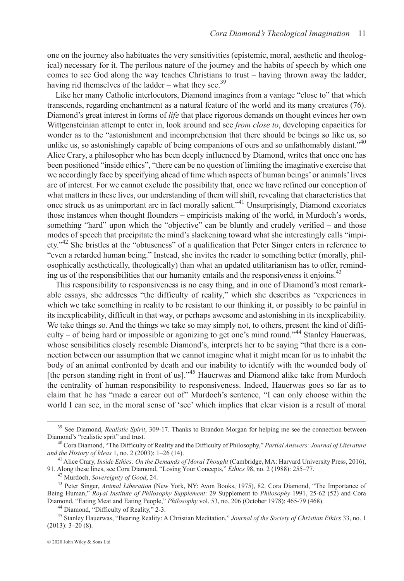one on the journey also habituates the very sensitivities (epistemic, moral, aesthetic and theological) necessary for it. The perilous nature of the journey and the habits of speech by which one comes to see God along the way teaches Christians to trust – having thrown away the ladder, having rid themselves of the ladder – what they see.<sup>39</sup>

Like her many Catholic interlocutors, Diamond imagines from a vantage "close to" that which transcends, regarding enchantment as a natural feature of the world and its many creatures (76). Diamond's great interest in forms of *life* that place rigorous demands on thought evinces her own Wittgensteinian attempt to enter in, look around and see *from close to*, developing capacities for wonder as to the "astonishment and incomprehension that there should be beings so like us, so unlike us, so astonishingly capable of being companions of ours and so unfathomably distant."<sup>40</sup> Alice Crary, a philosopher who has been deeply influenced by Diamond, writes that once one has been positioned "inside ethics", "there can be no question of limiting the imaginative exercise that we accordingly face by specifying ahead of time which aspects of human beings' or animals' lives are of interest. For we cannot exclude the possibility that, once we have refined our conception of what matters in these lives, our understanding of them will shift, revealing that characteristics that once struck us as unimportant are in fact morally salient."41 Unsurprisingly, Diamond excoriates those instances when thought flounders – empiricists making of the world, in Murdoch's words, something "hard" upon which the "objective" can be bluntly and crudely verified – and those modes of speech that precipitate the mind's slackening toward what she interestingly calls "impiety."<sup>42</sup> She bristles at the "obtuseness" of a qualification that Peter Singer enters in reference to "even a retarded human being." Instead, she invites the reader to something better (morally, philosophically aesthetically, theologically) than what an updated utilitarianism has to offer, reminding us of the responsibilities that our humanity entails and the responsiveness it enjoins.<sup>43</sup>

This responsibility to responsiveness is no easy thing, and in one of Diamond's most remarkable essays, she addresses "the difficulty of reality," which she describes as "experiences in which we take something in reality to be resistant to our thinking it, or possibly to be painful in its inexplicability, difficult in that way, or perhaps awesome and astonishing in its inexplicability. We take things so. And the things we take so may simply not, to others, present the kind of difficulty – of being hard or impossible or agonizing to get one's mind round."<sup>44</sup> Stanley Hauerwas, whose sensibilities closely resemble Diamond's, interprets her to be saying "that there is a connection between our assumption that we cannot imagine what it might mean for us to inhabit the body of an animal confronted by death and our inability to identify with the wounded body of [the person standing right in front of us]."<sup>45</sup> Hauerwas and Diamond alike take from Murdoch the centrality of human responsibility to responsiveness. Indeed, Hauerwas goes so far as to claim that he has "made a career out of" Murdoch's sentence, "I can only choose within the world I can see, in the moral sense of 'see' which implies that clear vision is a result of moral

<sup>&</sup>lt;sup>39</sup> See Diamond, *Realistic Spirit*, 309-17. Thanks to Brandon Morgan for helping me see the connection between Diamond's "realistic sprit" and trust.

<sup>40</sup> Cora Diamond, "The Difficulty of Reality and the Difficulty of Philosophy," *Partial Answers: Journal of Literature and the History of Ideas* 1, no. 2 (2003): 1–26 (14).

<sup>41</sup> Alice Crary, *Inside Ethics: On the Demands of Moral Thought* (Cambridge, MA: Harvard University Press, 2016), 91. Along these lines, see Cora Diamond, "Losing Your Concepts," *Ethics* 98, no. 2 (1988): 255–77.

<sup>42</sup> Murdoch, *Sovereignty of Good*, 24.

<sup>43</sup> Peter Singer, *Animal Liberation* (New York, NY: Avon Books, 1975), 82. Cora Diamond, "The Importance of Being Human," *Royal Institute of Philosophy Supplement*: 29 Supplement to *Philosophy* 1991, 25-62 (52) and Cora Diamond, "Eating Meat and Eating People," *Philosophy* vol. 53, no. 206 (October 1978): 465-79 (468).

<sup>44</sup> Diamond, "Difficulty of Reality," 2-3.

<sup>45</sup> Stanley Hauerwas, "Bearing Reality: A Christian Meditation," *Journal of the Society of Christian Ethics* 33, no. 1  $(2013): 3-20(8)$ .